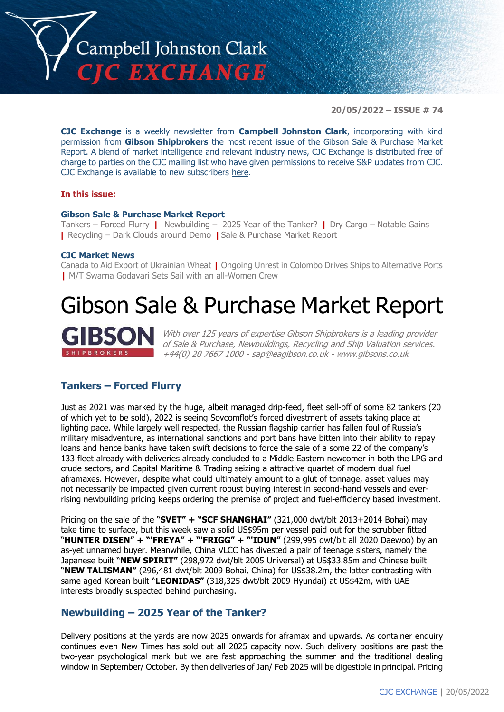

**20/05/2022 – ISSUE # 74**

**CJC Exchange** is a weekly newsletter from **Campbell Johnston Clark**, incorporating with kind permission from **Gibson Shipbrokers** the most recent issue of the Gibson Sale & Purchase Market Report. A blend of market intelligence and relevant industry news, CJC Exchange is distributed free of charge to parties on the CJC mailing list who have given permissions to receive S&P updates from CJC. CJC Exchange is available to new subscribers [here.](mailto:jamesc@cjclaw.com?subject=CJC%20Exchange%20sign-up)

#### **In this issue:**

#### **Gibson Sale & Purchase Market Report**

Tankers – Forced Flurry **|** Newbuilding – 2025 Year of the Tanker? **|** Dry Cargo – Notable Gains **|** Recycling – Dark Clouds around Demo **|** Sale & Purchase Market Report

#### **CJC Market News**

Canada to Aid Export of Ukrainian Wheat **|** Ongoing Unrest in Colombo Drives Ships to Alternative Ports **|** M/T Swarna Godavari Sets Sail with an all-Women Crew

### Gibson Sale & Purchase Market Report



With over 125 years of expertise Gibson Shipbrokers is a leading provider of Sale & Purchase, Newbuildings, Recycling and Ship Valuation services. +44(0) 20 7667 1000 - [sap@eagibson.co.uk](mailto:sap@eagibson.co.uk) - [www.gibsons.co.uk](https://protect-eu.mimecast.com/s/VO6nCGZzRS60KqcK1jQh/)

#### **Tankers – Forced Flurry**

Just as 2021 was marked by the huge, albeit managed drip-feed, fleet sell-off of some 82 tankers (20 of which yet to be sold), 2022 is seeing Sovcomflot's forced divestment of assets taking place at lighting pace. While largely well respected, the Russian flagship carrier has fallen foul of Russia's military misadventure, as international sanctions and port bans have bitten into their ability to repay loans and hence banks have taken swift decisions to force the sale of a some 22 of the company's 133 fleet already with deliveries already concluded to a Middle Eastern newcomer in both the LPG and crude sectors, and Capital Maritime & Trading seizing a attractive quartet of modern dual fuel aframaxes. However, despite what could ultimately amount to a glut of tonnage, asset values may not necessarily be impacted given current robust buying interest in second-hand vessels and everrising newbuilding pricing keeps ordering the premise of project and fuel-efficiency based investment.

Pricing on the sale of the "**SVET" + "SCF SHANGHAI"** (321,000 dwt/blt 2013+2014 Bohai) may take time to surface, but this week saw a solid US\$95m per vessel paid out for the scrubber fitted "**HUNTER DISEN" + "'FREYA" + "'FRIGG" + "'IDUN"** (299,995 dwt/blt all 2020 Daewoo) by an as-yet unnamed buyer. Meanwhile, China VLCC has divested a pair of teenage sisters, namely the Japanese built "**NEW SPIRIT"** (298,972 dwt/blt 2005 Universal) at US\$33.85m and Chinese built "**NEW TALISMAN"** (296,481 dwt/blt 2009 Bohai, China) for US\$38.2m, the latter contrasting with same aged Korean built "**LEONIDAS"** (318,325 dwt/blt 2009 Hyundai) at US\$42m, with UAE interests broadly suspected behind purchasing.

#### **Newbuilding – 2025 Year of the Tanker?**

Delivery positions at the yards are now 2025 onwards for aframax and upwards. As container enquiry continues even New Times has sold out all 2025 capacity now. Such delivery positions are past the two-year psychological mark but we are fast approaching the summer and the traditional dealing window in September/ October. By then deliveries of Jan/ Feb 2025 will be digestible in principal. Pricing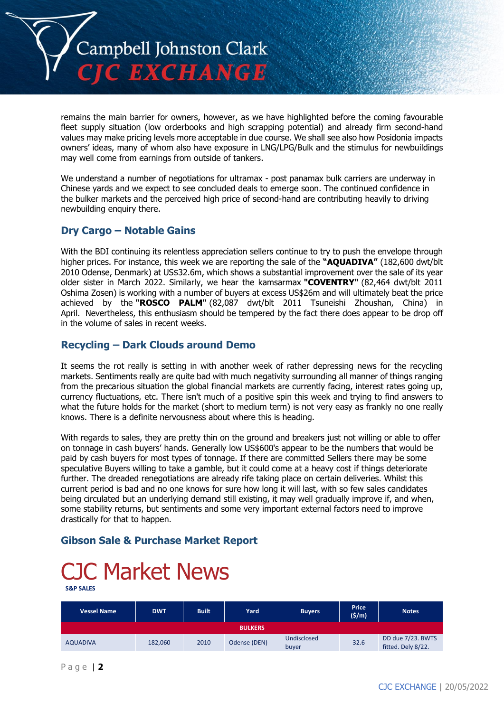

remains the main barrier for owners, however, as we have highlighted before the coming favourable fleet supply situation (low orderbooks and high scrapping potential) and already firm second-hand values may make pricing levels more acceptable in due course. We shall see also how Posidonia impacts owners' ideas, many of whom also have exposure in LNG/LPG/Bulk and the stimulus for newbuildings may well come from earnings from outside of tankers.

We understand a number of negotiations for ultramax - post panamax bulk carriers are underway in Chinese yards and we expect to see concluded deals to emerge soon. The continued confidence in the bulker markets and the perceived high price of second-hand are contributing heavily to driving newbuilding enquiry there.

#### **Dry Cargo – Notable Gains**

With the BDI continuing its relentless appreciation sellers continue to try to push the envelope through higher prices. For instance, this week we are reporting the sale of the **"AQUADIVA"** (182,600 dwt/blt 2010 Odense, Denmark) at US\$32.6m, which shows a substantial improvement over the sale of its year older sister in March 2022. Similarly, we hear the kamsarmax **"COVENTRY"** (82,464 dwt/blt 2011 Oshima Zosen) is working with a number of buyers at excess US\$26m and will ultimately beat the price achieved by the **"ROSCO PALM"** (82,087 dwt/blt 2011 Tsuneishi Zhoushan, China) in April. Nevertheless, this enthusiasm should be tempered by the fact there does appear to be drop off in the volume of sales in recent weeks.

#### **Recycling – Dark Clouds around Demo**

It seems the rot really is setting in with another week of rather depressing news for the recycling markets. Sentiments really are quite bad with much negativity surrounding all manner of things ranging from the precarious situation the global financial markets are currently facing, interest rates going up, currency fluctuations, etc. There isn't much of a positive spin this week and trying to find answers to what the future holds for the market (short to medium term) is not very easy as frankly no one really knows. There is a definite nervousness about where this is heading.

With regards to sales, they are pretty thin on the ground and breakers just not willing or able to offer on tonnage in cash buyers' hands. Generally low US\$600's appear to be the numbers that would be paid by cash buyers for most types of tonnage. If there are committed Sellers there may be some speculative Buyers willing to take a gamble, but it could come at a heavy cost if things deteriorate further. The dreaded renegotiations are already rife taking place on certain deliveries. Whilst this current period is bad and no one knows for sure how long it will last, with so few sales candidates being circulated but an underlying demand still existing, it may well gradually improve if, and when, some stability returns, but sentiments and some very important external factors need to improve drastically for that to happen.

#### **Gibson Sale & Purchase Market Report**

## C Market News

**S&P SALES**

| <b>Vessel Name</b> | <b>DWT</b> | <b>Built</b> | Yard           | <b>Buyers</b>        | <b>Price</b><br>$(\frac{\xi}{m})$ | <b>Notes</b>                            |
|--------------------|------------|--------------|----------------|----------------------|-----------------------------------|-----------------------------------------|
|                    |            |              | <b>BULKERS</b> |                      |                                   |                                         |
| <b>AQUADIVA</b>    | 182,060    | 2010         | Odense (DEN)   | Undisclosed<br>buyer | 32.6                              | DD due 7/23. BWTS<br>fitted. Dely 8/22. |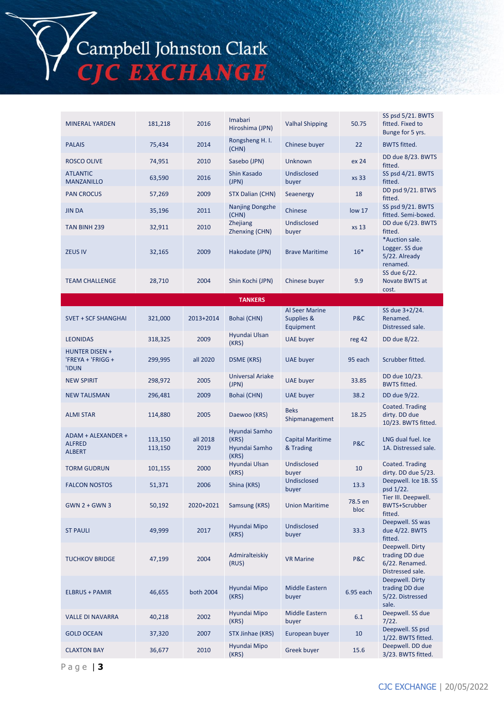# Campbell Johnston Clark<br>CJC EXCHANGE

| <b>MINERAL YARDEN</b>                                      | 181,218            | 2016             | Imabari<br>Hiroshima (JPN)                       | <b>Valhal Shipping</b>                           | 50.75             | SS psd 5/21. BWTS<br>fitted. Fixed to<br>Bunge for 5 yrs.               |
|------------------------------------------------------------|--------------------|------------------|--------------------------------------------------|--------------------------------------------------|-------------------|-------------------------------------------------------------------------|
| <b>PALAIS</b>                                              | 75,434             | 2014             | Rongsheng H. I.<br>(CHN)                         | Chinese buyer                                    | 22                | <b>BWTS fitted.</b>                                                     |
| <b>ROSCO OLIVE</b>                                         | 74,951             | 2010             | Sasebo (JPN)                                     | Unknown                                          | ex 24             | DD due 8/23. BWTS<br>fitted.                                            |
| <b>ATLANTIC</b><br><b>MANZANILLO</b>                       | 63,590             | 2016             | Shin Kasado<br>(JPN)                             | Undisclosed<br>buyer                             | xs 33             | SS psd 4/21. BWTS<br>fitted.                                            |
| <b>PAN CROCUS</b>                                          | 57,269             | 2009             | STX Dalian (CHN)                                 | Seaenergy                                        | 18                | DD psd 9/21. BTWS<br>fitted.                                            |
| <b>JIN DA</b>                                              | 35,196             | 2011             | Nanjing Dongzhe<br>(CHN)                         | Chinese                                          | low <sub>17</sub> | SS psd 9/21. BWTS<br>fitted. Semi-boxed.                                |
| TAN BINH 239                                               | 32,911             | 2010             | Zhejiang<br>Zhenxing (CHN)                       | Undisclosed<br>buyer                             | xs 13             | DD due 6/23. BWTS<br>fitted.                                            |
| <b>ZEUS IV</b>                                             | 32,165             | 2009             | Hakodate (JPN)                                   | <b>Brave Maritime</b>                            | $16*$             | *Auction sale.<br>Logger. SS due<br>5/22. Already<br>renamed.           |
| <b>TEAM CHALLENGE</b>                                      | 28,710             | 2004             | Shin Kochi (JPN)                                 | Chinese buyer                                    | 9.9               | SS due 6/22.<br>Novate BWTS at<br>cost.                                 |
|                                                            |                    |                  | <b>TANKERS</b>                                   |                                                  |                   |                                                                         |
| <b>SVET + SCF SHANGHAI</b>                                 | 321,000            | 2013+2014        | Bohai (CHN)                                      | <b>Al Seer Marine</b><br>Supplies &<br>Equipment | P&C               | SS due 3+2/24.<br>Renamed.<br>Distressed sale.                          |
| <b>LEONIDAS</b>                                            | 318,325            | 2009             | Hyundai Ulsan<br>(KRS)                           | UAE buyer                                        | reg 42            | DD due 8/22.                                                            |
| <b>HUNTER DISEN +</b><br>'FREYA + 'FRIGG +<br><b>'IDUN</b> | 299,995            | all 2020         | DSME (KRS)                                       | <b>UAE</b> buyer                                 | 95 each           | Scrubber fitted.                                                        |
| <b>NEW SPIRIT</b>                                          | 298,972            | 2005             | <b>Universal Ariake</b><br>(JPN)                 | <b>UAE</b> buyer                                 | 33.85             | DD due 10/23.<br><b>BWTS fitted.</b>                                    |
| <b>NEW TALISMAN</b>                                        | 296,481            | 2009             | Bohai (CHN)                                      | <b>UAE</b> buyer                                 | 38.2              | DD due 9/22.                                                            |
| <b>ALMI STAR</b>                                           | 114,880            | 2005             | Daewoo (KRS)                                     | <b>Beks</b><br>Shipmanagement                    | 18.25             | Coated. Trading<br>dirty. DD due<br>10/23. BWTS fitted.                 |
| ADAM + ALEXANDER +<br><b>ALFRED</b><br><b>ALBERT</b>       | 113,150<br>113,150 | all 2018<br>2019 | Hyundai Samho<br>(KRS)<br>Hyundai Samho<br>(KRS) | <b>Capital Maritime</b><br>& Trading             | P&C               | LNG dual fuel. Ice<br>1A. Distressed sale.                              |
| <b>TORM GUDRUN</b>                                         | 101,155            | 2000             | Hyundai Ulsan<br>(KRS)                           | Undisclosed<br>buyer                             | 10                | Coated. Trading<br>dirty. DD due 5/23.                                  |
| <b>FALCON NOSTOS</b>                                       | 51,371             | 2006             | Shina (KRS)                                      | Undisclosed<br>buyer                             | 13.3              | Deepwell. Ice 1B. SS<br>psd 1/22.                                       |
| $GWN 2 + GWN 3$                                            | 50,192             | 2020+2021        | Samsung (KRS)                                    | <b>Union Maritime</b>                            | 78.5 en<br>bloc   | Tier III. Deepwell.<br><b>BWTS+Scrubber</b><br>fitted.                  |
| <b>ST PAULI</b>                                            | 49,999             | 2017             | Hyundai Mipo<br>(KRS)                            | Undisclosed<br>buyer                             | 33.3              | Deepwell. SS was<br>due 4/22. BWTS<br>fitted.                           |
| <b>TUCHKOV BRIDGE</b>                                      | 47,199             | 2004             | Admiralteiskiy<br>(RUS)                          | <b>VR Marine</b>                                 | P&C               | Deepwell. Dirty<br>trading DD due<br>6/22. Renamed.<br>Distressed sale. |
| <b>ELBRUS + PAMIR</b>                                      | 46,655             | both 2004        | Hyundai Mipo<br>(KRS)                            | Middle Eastern<br>buyer                          | 6.95 each         | Deepwell. Dirty<br>trading DD due<br>5/22. Distressed<br>sale.          |
| <b>VALLE DI NAVARRA</b>                                    | 40,218             | 2002             | Hyundai Mipo<br>(KRS)                            | Middle Eastern<br>buyer                          | 6.1               | Deepwell. SS due<br>7/22.                                               |
| <b>GOLD OCEAN</b>                                          | 37,320             | 2007             | STX Jinhae (KRS)                                 | European buyer                                   | 10                | Deepwell. SS psd<br>1/22. BWTS fitted.                                  |
| <b>CLAXTON BAY</b>                                         | 36,677             | 2010             | Hyundai Mipo<br>(KRS)                            | Greek buyer                                      | 15.6              | Deepwell. DD due<br>3/23. BWTS fitted.                                  |
|                                                            |                    |                  |                                                  |                                                  |                   |                                                                         |

P a g e | **3**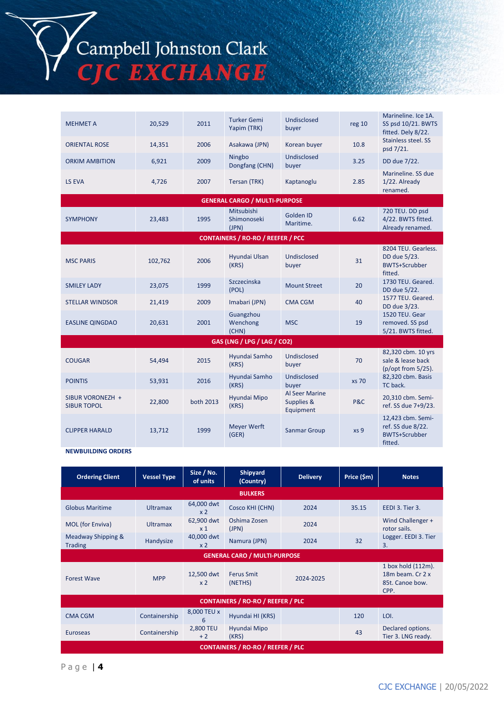# Campbell Johnston Clark<br>CJC EXCHANGE

| <b>MEHMET A</b>                        | 20,529  | 2011      | <b>Turker Gemi</b><br>Yapim (TRK)         | Undisclosed<br>buyer                      | reg 10          | Marineline. Ice 1A.<br>SS psd 10/21. BWTS<br>fitted. Dely 8/22.           |
|----------------------------------------|---------|-----------|-------------------------------------------|-------------------------------------------|-----------------|---------------------------------------------------------------------------|
| <b>ORIENTAL ROSE</b>                   | 14,351  | 2006      | Asakawa (JPN)                             | Korean buyer                              | 10.8            | Stainless steel. SS<br>psd 7/21.                                          |
| <b>ORKIM AMBITION</b>                  | 6,921   | 2009      | Ningbo<br>Dongfang (CHN)                  | Undisclosed<br>buyer                      | 3.25            | DD due 7/22.                                                              |
| LS EVA                                 | 4,726   | 2007      | Tersan (TRK)                              | Kaptanoglu                                | 2.85            | Marineline, SS due<br>1/22. Already<br>renamed.                           |
|                                        |         |           | <b>GENERAL CARGO / MULTI-PURPOSE</b>      |                                           |                 |                                                                           |
| <b>SYMPHONY</b>                        | 23,483  | 1995      | <b>Mitsubishi</b><br>Shimonoseki<br>(JPN) | Golden ID<br>Maritime.                    | 6.62            | 720 TEU. DD psd<br>4/22. BWTS fitted.<br>Already renamed.                 |
|                                        |         |           | <b>CONTAINERS / RO-RO / REEFER / PCC</b>  |                                           |                 |                                                                           |
| <b>MSC PARIS</b>                       | 102,762 | 2006      | Hyundai Ulsan<br>(KRS)                    | Undisclosed<br>buyer                      | 31              | 8204 TEU, Gearless.<br>DD due 5/23.<br><b>BWTS+Scrubber</b><br>fitted.    |
| <b>SMILEY LADY</b>                     | 23,075  | 1999      | Szczecinska<br>(POL)                      | <b>Mount Street</b>                       | 20              | 1730 TEU. Geared.<br>DD due 5/22.                                         |
| <b>STELLAR WINDSOR</b>                 | 21,419  | 2009      | Imabari (JPN)                             | CMA CGM                                   | 40              | 1577 TEU. Geared.<br>DD due 3/23.                                         |
| <b>EASLINE QINGDAO</b>                 | 20,631  | 2001      | Guangzhou<br>Wenchong<br>(CHN)            | <b>MSC</b>                                | 19              | 1520 TEU. Gear<br>removed. SS psd<br>5/21. BWTS fitted.                   |
|                                        |         |           | GAS (LNG / LPG / LAG / CO2)               |                                           |                 |                                                                           |
| <b>COUGAR</b>                          | 54,494  | 2015      | Hyundai Samho<br>(KRS)                    | Undisclosed<br>buyer                      | 70              | 82,320 cbm. 10 yrs<br>sale & lease back<br>(p/opt from 5/25).             |
| <b>POINTIS</b>                         | 53,931  | 2016      | Hyundai Samho<br>(KRS)                    | Undisclosed<br>buyer                      | xs 70           | 82,320 cbm. Basis<br>TC back.                                             |
| SIBUR VORONEZH +<br><b>SIBUR TOPOL</b> | 22,800  | both 2013 | Hyundai Mipo<br>(KRS)                     | Al Seer Marine<br>Supplies &<br>Equipment | P&C             | 20,310 cbm. Semi-<br>ref. SS due 7+9/23.                                  |
| <b>CLIPPER HARALD</b>                  | 13,712  | 1999      | <b>Meyer Werft</b><br>(GER)               | <b>Sanmar Group</b>                       | xs <sub>9</sub> | 12,423 cbm. Semi-<br>ref. SS due 8/22.<br><b>BWTS+Scrubber</b><br>fitted. |

**NEWBUILDING ORDERS**

| <b>Ordering Client</b>               | <b>Vessel Type</b> | Size / No.<br>of units              | Shipyard<br>(Country)                    | <b>Delivery</b> | Price (\$m) | <b>Notes</b>                                                      |
|--------------------------------------|--------------------|-------------------------------------|------------------------------------------|-----------------|-------------|-------------------------------------------------------------------|
|                                      |                    |                                     | <b>BULKERS</b>                           |                 |             |                                                                   |
| <b>Globus Maritime</b>               | <b>Ultramax</b>    | 64,000 dwt<br>x <sub>2</sub>        | Cosco KHI (CHN)                          | 2024            | 35.15       | EEDI 3. Tier 3.                                                   |
| MOL (for Enviva)                     | <b>Ultramax</b>    | 62,900 dwt<br>x <sub>1</sub>        | Oshima Zosen<br>(JPN)                    | 2024            |             | Wind Challenger +<br>rotor sails.                                 |
| Meadway Shipping &<br><b>Trading</b> | Handysize          | 40,000 dwt<br>x <sub>2</sub>        | Namura (JPN)                             | 2024            | 32          | Logger. EEDI 3. Tier<br>3.                                        |
|                                      |                    | <b>GENERAL CARO / MULTI-PURPOSE</b> |                                          |                 |             |                                                                   |
| <b>Forest Wave</b>                   | <b>MPP</b>         | 12,500 dwt<br>x <sub>2</sub>        | <b>Ferus Smit</b><br>(NETHS)             | 2024-2025       |             | 1 box hold (112m).<br>18m beam, Cr 2 x<br>85t. Canoe bow.<br>CPP. |
|                                      |                    |                                     | <b>CONTAINERS / RO-RO / REEFER / PLC</b> |                 |             |                                                                   |
| <b>CMA CGM</b>                       | Containership      | 8,000 TEU x<br>6                    | Hyundai HI (KRS)                         |                 | 120         | LOI.                                                              |
| <b>Euroseas</b>                      | Containership      | 2,800 TEU<br>$+2$                   | Hyundai Mipo<br>(KRS)                    |                 | 43          | Declared options.<br>Tier 3. LNG ready.                           |
|                                      |                    |                                     | <b>CONTAINERS / RO-RO / REEFER / PLC</b> |                 |             |                                                                   |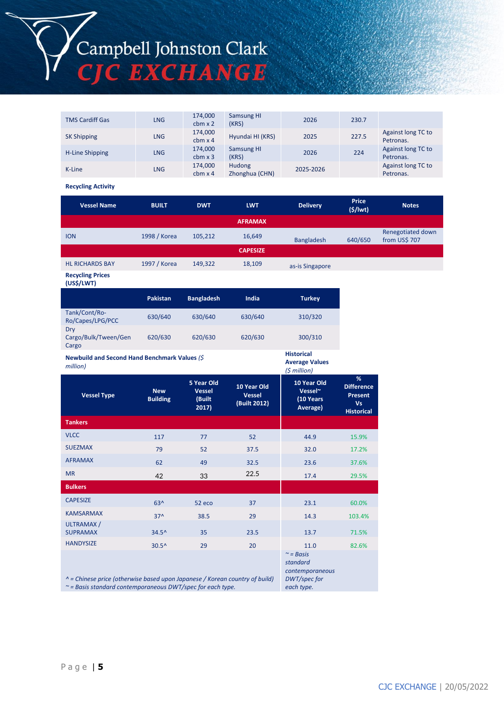## Campbell Johnston Clark<br>CJC EXCHANGE

| <b>TMS Cardiff Gas</b> | <b>LNG</b> | 174,000<br>$cbm \times 2$ | <b>Samsung HI</b><br>(KRS) | 2026      | 230.7 |                                 |
|------------------------|------------|---------------------------|----------------------------|-----------|-------|---------------------------------|
| <b>SK Shipping</b>     | <b>LNG</b> | 174,000<br>$cbm \times 4$ | Hyundai HI (KRS)           | 2025      | 227.5 | Against long TC to<br>Petronas. |
| H-Line Shipping        | <b>LNG</b> | 174,000<br>$cbm \times 3$ | <b>Samsung HI</b><br>(KRS) | 2026      | 224   | Against long TC to<br>Petronas. |
| K-Line                 | <b>LNG</b> | 174,000<br>$cbm \times 4$ | Hudong<br>Zhonghua (CHN)   | 2025-2026 |       | Against long TC to<br>Petronas. |

**Recycling Activity**

| <b>Vessel Name</b>                    | <b>BUILT</b>    | <b>DWT</b>        | <b>LWT</b>      | <b>Delivery</b>   | <b>Price</b><br>$($ \$/lwt $)$ | <b>Notes</b>                       |
|---------------------------------------|-----------------|-------------------|-----------------|-------------------|--------------------------------|------------------------------------|
|                                       |                 |                   | <b>AFRAMAX</b>  |                   |                                |                                    |
| <b>ION</b>                            | 1998 / Korea    | 105,212           | 16,649          | <b>Bangladesh</b> | 640/650                        | Renegotiated down<br>from US\$ 707 |
|                                       |                 |                   | <b>CAPESIZE</b> |                   |                                |                                    |
| <b>HL RICHARDS BAY</b>                | 1997 / Korea    | 149,322           | 18,109          | as-is Singapore   |                                |                                    |
| <b>Recycling Prices</b><br>(US\$/LWT) |                 |                   |                 |                   |                                |                                    |
|                                       | <b>Dakictan</b> | <b>Rangladoch</b> | India           | Turkey            |                                |                                    |

*DWT/spec for each type.*

|                                      | <b>Pakistan</b> | <b>Bangladesh</b> | India   | <b>Turkey</b> |
|--------------------------------------|-----------------|-------------------|---------|---------------|
| Tank/Cont/Ro-<br>Ro/Capes/LPG/PCC    | 630/640         | 630/640           | 630/640 | 310/320       |
| Dry<br>Cargo/Bulk/Tween/Gen<br>Cargo | 620/630         | 620/630           | 620/630 | 300/310       |
|                                      |                 |                   |         |               |

**Newbuild and Second Hand Benchmark Values** *(\$ million)* **Historical Average Values** *(\$ million)* **Vessel Type New Building 5 Year Old Vessel (Built 2017) 10 Year Old Vessel (Built 2012) 10 Year Old Vessel~ (10 Years Average) % Difference Present Vs Historical Tankers** VLCC 117 117 77 52 44.9 15.9% SUEZMAX 79 52 37.5 32.0 17.2% AFRAMAX 62 62 49 32.5 23.6 37.6% MR 42 33  $22.5$   $17.4$   $29.5\%$ **Bulkers**  $\begin{array}{ccccccc} \text{CAPESIZE} & & & & & 63^{\text{A}} & & & 52 \text{ eco} & & & 37 & & 23.1 & 60.0\% \end{array}$  $KAMSARMAX$  37^ 38.5 29 14.3 103.4% ULTRAMAX / SUPRAMAX 34.5^ 35 23.5 13.7 71.5% HANDYSIZE 30.5^ 29 20 11.0 82.6% *~ = Basis standard contemporaneous* 

*^ = Chinese price (otherwise based upon Japanese / Korean country of build)* 

*~ = Basis standard contemporaneous DWT/spec for each type.*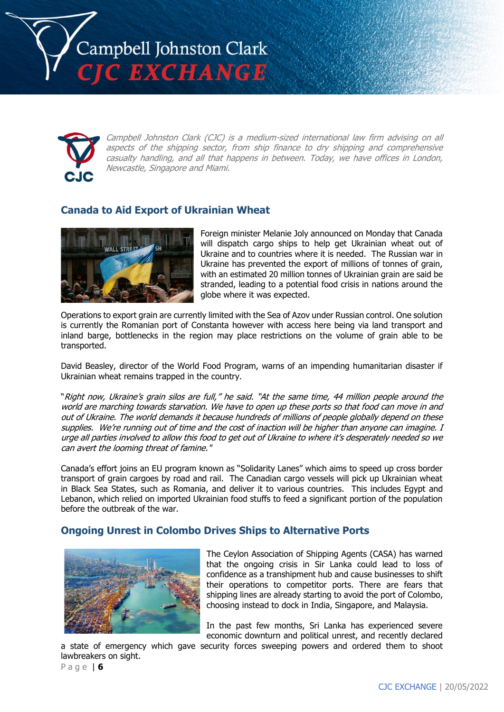



Campbell Johnston Clark (CJC) is a medium-sized international law firm advising on all aspects of the shipping sector, from ship finance to dry shipping and comprehensive casualty handling, and all that happens in between. Today, we have offices in London, Newcastle, Singapore and Miami.

#### **Canada to Aid Export of Ukrainian Wheat**



Foreign minister Melanie Joly announced on Monday that Canada will dispatch cargo ships to help get Ukrainian wheat out of Ukraine and to countries where it is needed. The Russian war in Ukraine has prevented the export of millions of tonnes of grain, with an estimated 20 million tonnes of Ukrainian grain are said be stranded, leading to a potential food crisis in nations around the globe where it was expected.

Operations to export grain are currently limited with the Sea of Azov under Russian control. One solution is currently the Romanian port of Constanta however with access here being via land transport and inland barge, bottlenecks in the region may place restrictions on the volume of grain able to be transported.

David Beasley, director of the World Food Program, warns of an impending humanitarian disaster if Ukrainian wheat remains trapped in the country.

"Right now, Ukraine's grain silos are full," he said. "At the same time, 44 million people around the world are marching towards starvation. We have to open up these ports so that food can move in and out of Ukraine. The world demands it because hundreds of millions of people globally depend on these supplies. We're running out of time and the cost of inaction will be higher than anyone can imagine. I urge all parties involved to allow this food to get out of Ukraine to where it's desperately needed so we can avert the looming threat of famine."

Canada's effort joins an EU program known as "Solidarity Lanes" which aims to speed up cross border transport of grain cargoes by road and rail. The Canadian cargo vessels will pick up Ukrainian wheat in Black Sea States, such as Romania, and deliver it to various countries. This includes Egypt and Lebanon, which relied on imported Ukrainian food stuffs to feed a significant portion of the population before the outbreak of the war.

#### **Ongoing Unrest in Colombo Drives Ships to Alternative Ports**



The Ceylon Association of Shipping Agents (CASA) has warned that the ongoing crisis in Sir Lanka could lead to loss of confidence as a transhipment hub and cause businesses to shift their operations to competitor ports. There are fears that shipping lines are already starting to avoid the port of Colombo, choosing instead to dock in India, Singapore, and Malaysia.

In the past few months, Sri Lanka has experienced severe economic downturn and political unrest, and recently declared

a state of emergency which gave security forces sweeping powers and ordered them to shoot lawbreakers on sight.

P a g e | **6**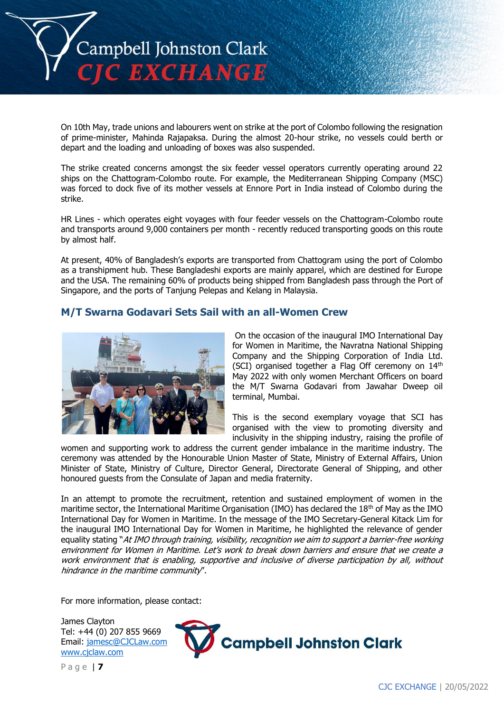

On 10th May, trade unions and labourers went on strike at the port of Colombo following the resignation of prime-minister, Mahinda Rajapaksa. During the almost 20-hour strike, no vessels could berth or depart and the loading and unloading of boxes was also suspended.

The strike created concerns amongst the six feeder vessel operators currently operating around 22 ships on the Chattogram-Colombo route. For example, the Mediterranean Shipping Company (MSC) was forced to dock five of its mother vessels at Ennore Port in India instead of Colombo during the strike.

HR Lines - which operates eight voyages with four feeder vessels on the Chattogram-Colombo route and transports around 9,000 containers per month - recently reduced transporting goods on this route by almost half.

At present, 40% of Bangladesh's exports are transported from Chattogram using the port of Colombo as a transhipment hub. These Bangladeshi exports are mainly apparel, which are destined for Europe and the USA. The remaining 60% of products being shipped from Bangladesh pass through the Port of Singapore, and the ports of Tanjung Pelepas and Kelang in Malaysia.

#### **M/T Swarna Godavari Sets Sail with an all-Women Crew**



On the occasion of the inaugural IMO International Day for Women in Maritime, the Navratna National Shipping Company and the Shipping Corporation of India Ltd. (SCI) organised together a Flag Off ceremony on 14th May 2022 with only women Merchant Officers on board the M/T Swarna Godavari from Jawahar Dweep oil terminal, Mumbai.

This is the second exemplary voyage that SCI has organised with the view to promoting diversity and inclusivity in the shipping industry, raising the profile of

women and supporting work to address the current gender imbalance in the maritime industry. The ceremony was attended by the Honourable Union Master of State, Ministry of External Affairs, Union Minister of State, Ministry of Culture, Director General, Directorate General of Shipping, and other honoured guests from the Consulate of Japan and media fraternity.

In an attempt to promote the recruitment, retention and sustained employment of women in the maritime sector, the International Maritime Organisation (IMO) has declared the 18<sup>th</sup> of May as the IMO International Day for Women in Maritime. In the message of the IMO Secretary-General Kitack Lim for the inaugural IMO International Day for Women in Maritime, he highlighted the relevance of gender equality stating "At IMO through training, visibility, recognition we aim to support a barrier-free working environment for Women in Maritime. Let's work to break down barriers and ensure that we create a work environment that is enabling, supportive and inclusive of diverse participation by all, without hindrance in the maritime community".

For more information, please contact:

James Clayton Tel: +44 (0) 207 855 9669 Email: [jamesc@CJCLaw.com](mailto:jamesc@CJCLaw.com) [www.cjclaw.com](http://www.cjclaw.com/)



P a g e | **7**